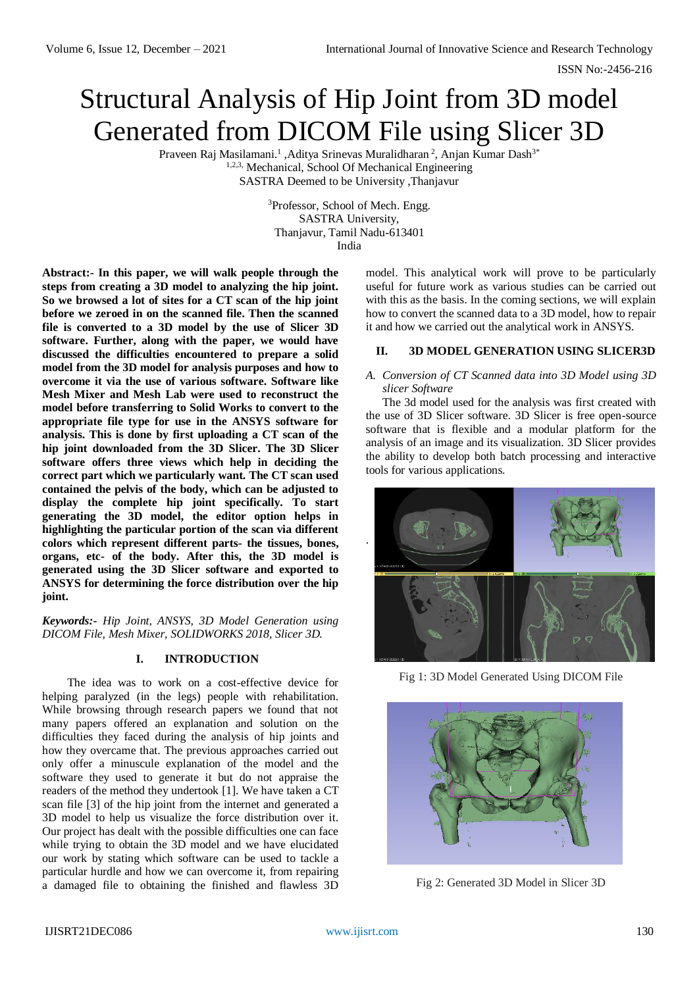ISSN No:-2456-216

# Structural Analysis of Hip Joint from 3D model Generated from DICOM File using Slicer 3D

Praveen Raj Masilamani.<sup>1</sup> ,Aditya Srinevas Muralidharan<sup>2</sup>, Anjan Kumar Dash<sup>3\*</sup> 1,2,3, Mechanical, School Of Mechanical Engineering SASTRA Deemed to be University ,Thanjavur

> <sup>3</sup>Professor, School of Mech. Engg. SASTRA University, Thanjavur, Tamil Nadu-613401 India

**Abstract:- In this paper, we will walk people through the steps from creating a 3D model to analyzing the hip joint. So we browsed a lot of sites for a CT scan of the hip joint before we zeroed in on the scanned file. Then the scanned file is converted to a 3D model by the use of Slicer 3D software. Further, along with the paper, we would have discussed the difficulties encountered to prepare a solid model from the 3D model for analysis purposes and how to overcome it via the use of various software. Software like Mesh Mixer and Mesh Lab were used to reconstruct the model before transferring to Solid Works to convert to the appropriate file type for use in the ANSYS software for analysis. This is done by first uploading a CT scan of the hip joint downloaded from the 3D Slicer. The 3D Slicer software offers three views which help in deciding the correct part which we particularly want. The CT scan used contained the pelvis of the body, which can be adjusted to display the complete hip joint specifically. To start generating the 3D model, the editor option helps in highlighting the particular portion of the scan via different colors which represent different parts- the tissues, bones, organs, etc- of the body. After this, the 3D model is generated using the 3D Slicer software and exported to ANSYS for determining the force distribution over the hip joint.**

*Keywords:- Hip Joint, ANSYS, 3D Model Generation using DICOM File, Mesh Mixer, SOLIDWORKS 2018, Slicer 3D.*

## **I. INTRODUCTION**

The idea was to work on a cost-effective device for helping paralyzed (in the legs) people with rehabilitation. While browsing through research papers we found that not many papers offered an explanation and solution on the difficulties they faced during the analysis of hip joints and how they overcame that. The previous approaches carried out only offer a minuscule explanation of the model and the software they used to generate it but do not appraise the readers of the method they undertook [1]. We have taken a CT scan file [3] of the hip joint from the internet and generated a 3D model to help us visualize the force distribution over it. Our project has dealt with the possible difficulties one can face while trying to obtain the 3D model and we have elucidated our work by stating which software can be used to tackle a particular hurdle and how we can overcome it, from repairing a damaged file to obtaining the finished and flawless 3D

model. This analytical work will prove to be particularly useful for future work as various studies can be carried out with this as the basis. In the coming sections, we will explain how to convert the scanned data to a 3D model, how to repair it and how we carried out the analytical work in ANSYS.

## **II. 3D MODEL GENERATION USING SLICER3D**

## *A. Conversion of CT Scanned data into 3D Model using 3D slicer Software*

The 3d model used for the analysis was first created with the use of 3D Slicer software. 3D Slicer is free open-source software that is flexible and a modular platform for the analysis of an image and its visualization. 3D Slicer provides the ability to develop both batch processing and interactive tools for various applications.



Fig 1: 3D Model Generated Using DICOM File



Fig 2: Generated 3D Model in Slicer 3D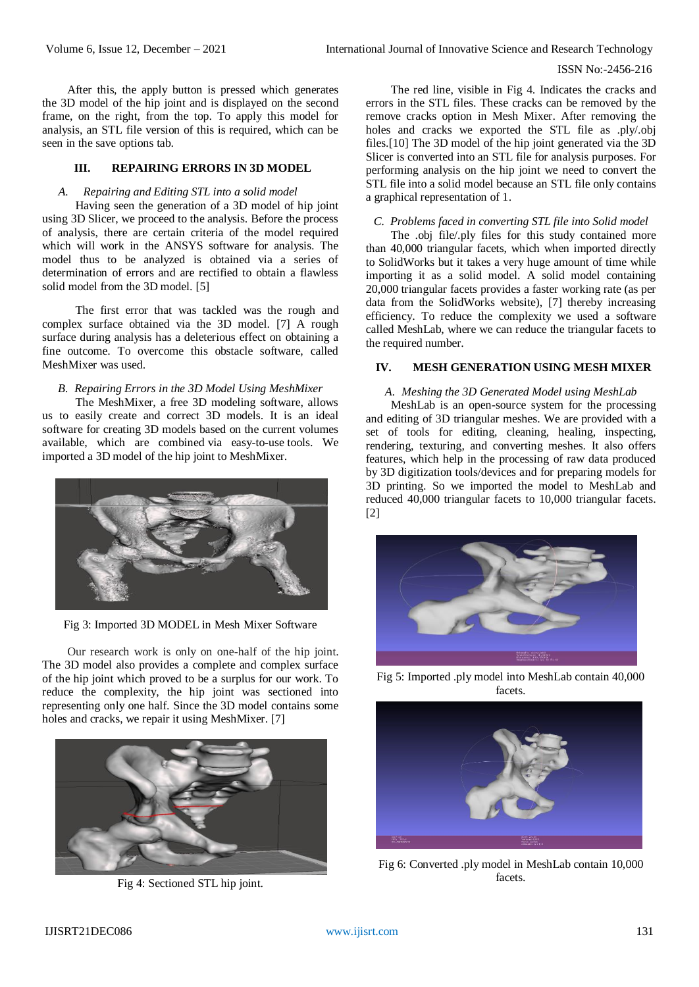#### ISSN No:-2456-216

After this, the apply button is pressed which generates the 3D model of the hip joint and is displayed on the second frame, on the right, from the top. To apply this model for analysis, an STL file version of this is required, which can be seen in the save options tab.

## **III. REPAIRING ERRORS IN 3D MODEL**

## *A. Repairing and Editing STL into a solid model*

Having seen the generation of a 3D model of hip joint using 3D Slicer, we proceed to the analysis. Before the process of analysis, there are certain criteria of the model required which will work in the ANSYS software for analysis. The model thus to be analyzed is obtained via a series of determination of errors and are rectified to obtain a flawless solid model from the 3D model. [5]

The first error that was tackled was the rough and complex surface obtained via the 3D model. [7] A rough surface during analysis has a deleterious effect on obtaining a fine outcome. To overcome this obstacle software, called MeshMixer was used.

#### *B. Repairing Errors in the 3D Model Using MeshMixer*

The MeshMixer, a free 3D modeling software, allows us to easily create and correct 3D models. It is an ideal software for creating 3D models based on the current volumes available, which are combined via easy-to**-**use tools. We imported a 3D model of the hip joint to MeshMixer.



Fig 3: Imported 3D MODEL in Mesh Mixer Software

Our research work is only on one-half of the hip joint. The 3D model also provides a complete and complex surface of the hip joint which proved to be a surplus for our work. To reduce the complexity, the hip joint was sectioned into representing only one half. Since the 3D model contains some holes and cracks, we repair it using MeshMixer. [7]



Fig 4: Sectioned STL hip joint.

The red line, visible in Fig 4. Indicates the cracks and errors in the STL files. These cracks can be removed by the remove cracks option in Mesh Mixer. After removing the holes and cracks we exported the STL file as .ply/.obj files.[10] The 3D model of the hip joint generated via the 3D Slicer is converted into an STL file for analysis purposes. For performing analysis on the hip joint we need to convert the STL file into a solid model because an STL file only contains a graphical representation of 1.

#### *C. Problems faced in converting STL file into Solid model*

The .obj file/.ply files for this study contained more than 40,000 triangular facets, which when imported directly to SolidWorks but it takes a very huge amount of time while importing it as a solid model. A solid model containing 20,000 triangular facets provides a faster working rate (as per data from the SolidWorks website), [7] thereby increasing efficiency. To reduce the complexity we used a software called MeshLab, where we can reduce the triangular facets to the required number.

## **IV. MESH GENERATION USING MESH MIXER**

## *A. Meshing the 3D Generated Model using MeshLab*

MeshLab is an open-source system for the processing and editing of 3D triangular meshes. We are provided with a set of tools for editing, cleaning, healing, inspecting, rendering, texturing, and converting meshes. It also offers features, which help in the processing of raw data produced by 3D digitization tools/devices and for preparing models for 3D printing. So we imported the model to MeshLab and reduced 40,000 triangular facets to 10,000 triangular facets. [2]



Fig 5: Imported .ply model into MeshLab contain 40,000 facets.



Fig 6: Converted .ply model in MeshLab contain 10,000 facets.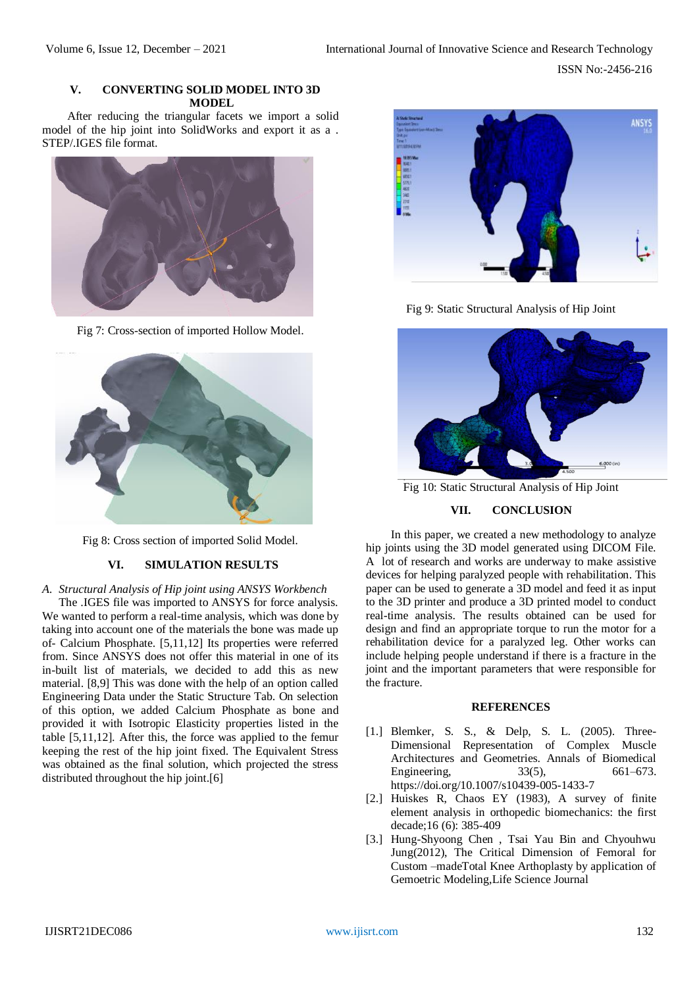## **V. CONVERTING SOLID MODEL INTO 3D MODEL**

After reducing the triangular facets we import a solid model of the hip joint into SolidWorks and export it as a . STEP/.IGES file format.



Fig 7: Cross-section of imported Hollow Model.



Fig 8: Cross section of imported Solid Model.

## **VI. SIMULATION RESULTS**

*A. Structural Analysis of Hip joint using ANSYS Workbench*

The .IGES file was imported to ANSYS for force analysis. We wanted to perform a real-time analysis, which was done by taking into account one of the materials the bone was made up of- Calcium Phosphate. [5,11,12] Its properties were referred from. Since ANSYS does not offer this material in one of its in-built list of materials, we decided to add this as new material. [8,9] This was done with the help of an option called Engineering Data under the Static Structure Tab. On selection of this option, we added Calcium Phosphate as bone and provided it with Isotropic Elasticity properties listed in the table [5,11,12]. After this, the force was applied to the femur keeping the rest of the hip joint fixed. The Equivalent Stress was obtained as the final solution, which projected the stress distributed throughout the hip joint.[6]



Fig 9: Static Structural Analysis of Hip Joint



Fig 10: Static Structural Analysis of Hip Joint

#### **VII. CONCLUSION**

In this paper, we created a new methodology to analyze hip joints using the 3D model generated using DICOM File. A lot of research and works are underway to make assistive devices for helping paralyzed people with rehabilitation. This paper can be used to generate a 3D model and feed it as input to the 3D printer and produce a 3D printed model to conduct real-time analysis. The results obtained can be used for design and find an appropriate torque to run the motor for a rehabilitation device for a paralyzed leg. Other works can include helping people understand if there is a fracture in the joint and the important parameters that were responsible for the fracture.

#### **REFERENCES**

- [1.] Blemker, S. S., & Delp, S. L. (2005). Three-Dimensional Representation of Complex Muscle Architectures and Geometries. Annals of Biomedical Engineering, 33(5), 661–673. https://doi.org/10.1007/s10439-005-1433-7
- [2.] Huiskes R, Chaos EY (1983), A survey of finite element analysis in orthopedic biomechanics: the first decade;16 (6): 385-409
- [3.] Hung-Shyoong Chen , Tsai Yau Bin and Chyouhwu Jung(2012), The Critical Dimension of Femoral for Custom –madeTotal Knee Arthoplasty by application of Gemoetric Modeling,Life Science Journal